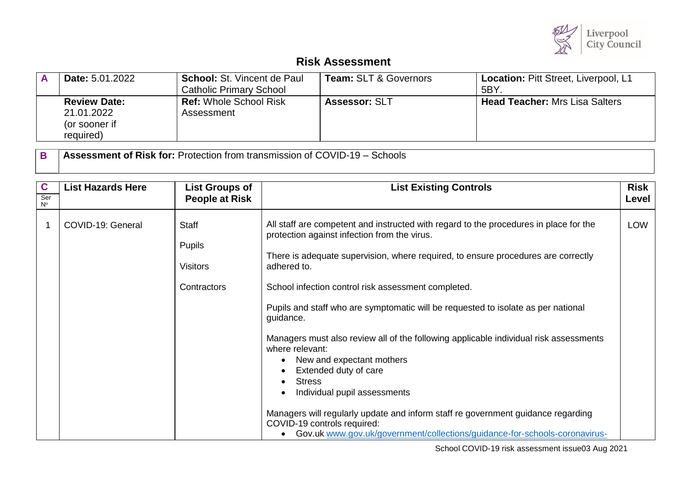

## **Risk Assessment**

| <b>Date: 5.01.2022</b>                                          | <b>School: St. Vincent de Paul</b><br><b>Catholic Primary School</b> | <b>Team: SLT &amp; Governors</b> | Location: Pitt Street, Liverpool, L1<br>5BY |
|-----------------------------------------------------------------|----------------------------------------------------------------------|----------------------------------|---------------------------------------------|
| <b>Review Date:</b><br>21.01.2022<br>(or sooner if<br>required) | <b>Ref: Whole School Risk</b><br>Assessment                          | <b>Assessor: SLT</b>             | <b>Head Teacher:</b> Mrs Lisa Salters       |

**B Assessment of Risk for:** Protection from transmission of COVID-19 – Schools

| $\mathbf c$<br>Ser<br>$N^{\circ}$ | <b>List Hazards Here</b> | <b>List Groups of</b><br><b>People at Risk</b>                  | <b>List Existing Controls</b>                                                                                                                                                                                                                                                                                                                                                                                                                                                                                                                                                                                                                                                                                                                                                                                          | <b>Risk</b><br>Level |
|-----------------------------------|--------------------------|-----------------------------------------------------------------|------------------------------------------------------------------------------------------------------------------------------------------------------------------------------------------------------------------------------------------------------------------------------------------------------------------------------------------------------------------------------------------------------------------------------------------------------------------------------------------------------------------------------------------------------------------------------------------------------------------------------------------------------------------------------------------------------------------------------------------------------------------------------------------------------------------------|----------------------|
|                                   | COVID-19: General        | <b>Staff</b><br><b>Pupils</b><br><b>Visitors</b><br>Contractors | All staff are competent and instructed with regard to the procedures in place for the<br>protection against infection from the virus.<br>There is adequate supervision, where required, to ensure procedures are correctly<br>adhered to.<br>School infection control risk assessment completed.<br>Pupils and staff who are symptomatic will be requested to isolate as per national<br>guidance.<br>Managers must also review all of the following applicable individual risk assessments<br>where relevant:<br>New and expectant mothers<br>Extended duty of care<br><b>Stress</b><br>Individual pupil assessments<br>Managers will regularly update and inform staff re government guidance regarding<br>COVID-19 controls required:<br>Gov.uk www.gov.uk/government/collections/guidance-for-schools-coronavirus- | <b>LOW</b>           |

School COVID-19 risk assessment issue03 Aug 2021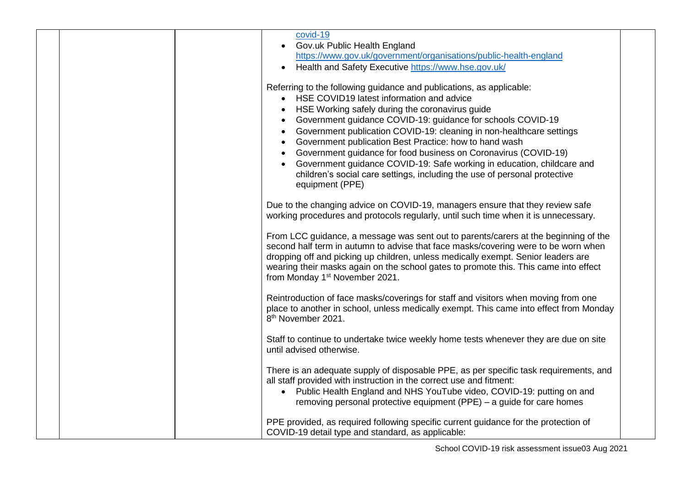|  | covid-19<br>Gov.uk Public Health England<br>$\bullet$<br>https://www.gov.uk/government/organisations/public-health-england<br>Health and Safety Executive https://www.hse.gov.uk/                                                                                                                                                                                                                                                                                                                                                                                                                                  |  |
|--|--------------------------------------------------------------------------------------------------------------------------------------------------------------------------------------------------------------------------------------------------------------------------------------------------------------------------------------------------------------------------------------------------------------------------------------------------------------------------------------------------------------------------------------------------------------------------------------------------------------------|--|
|  | Referring to the following guidance and publications, as applicable:<br>HSE COVID19 latest information and advice<br>HSE Working safely during the coronavirus guide<br>Government guidance COVID-19: guidance for schools COVID-19<br>Government publication COVID-19: cleaning in non-healthcare settings<br>Government publication Best Practice: how to hand wash<br>Government guidance for food business on Coronavirus (COVID-19)<br>Government guidance COVID-19: Safe working in education, childcare and<br>children's social care settings, including the use of personal protective<br>equipment (PPE) |  |
|  | Due to the changing advice on COVID-19, managers ensure that they review safe<br>working procedures and protocols regularly, until such time when it is unnecessary.                                                                                                                                                                                                                                                                                                                                                                                                                                               |  |
|  | From LCC guidance, a message was sent out to parents/carers at the beginning of the<br>second half term in autumn to advise that face masks/covering were to be worn when<br>dropping off and picking up children, unless medically exempt. Senior leaders are<br>wearing their masks again on the school gates to promote this. This came into effect<br>from Monday 1 <sup>st</sup> November 2021.                                                                                                                                                                                                               |  |
|  | Reintroduction of face masks/coverings for staff and visitors when moving from one<br>place to another in school, unless medically exempt. This came into effect from Monday<br>8 <sup>th</sup> November 2021.                                                                                                                                                                                                                                                                                                                                                                                                     |  |
|  | Staff to continue to undertake twice weekly home tests whenever they are due on site<br>until advised otherwise.                                                                                                                                                                                                                                                                                                                                                                                                                                                                                                   |  |
|  | There is an adequate supply of disposable PPE, as per specific task requirements, and<br>all staff provided with instruction in the correct use and fitment:<br>• Public Health England and NHS YouTube video, COVID-19: putting on and<br>removing personal protective equipment (PPE) – a guide for care homes                                                                                                                                                                                                                                                                                                   |  |
|  | PPE provided, as required following specific current guidance for the protection of<br>COVID-19 detail type and standard, as applicable:                                                                                                                                                                                                                                                                                                                                                                                                                                                                           |  |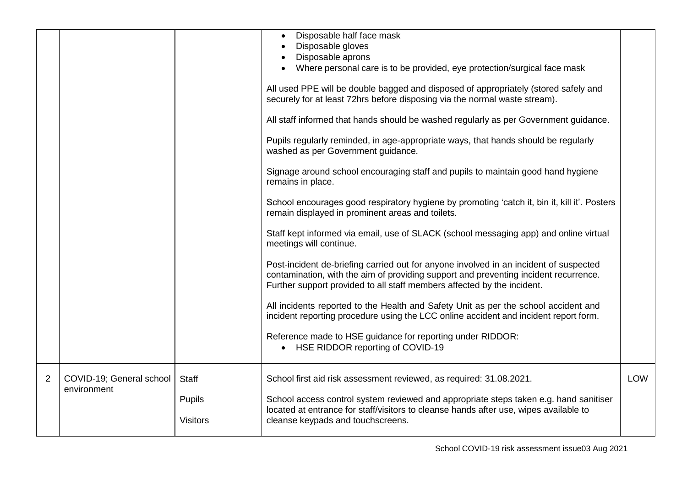|   |                                         |                                           | Disposable half face mask<br>Disposable gloves<br>Disposable aprons<br>Where personal care is to be provided, eye protection/surgical face mask<br>All used PPE will be double bagged and disposed of appropriately (stored safely and<br>securely for at least 72hrs before disposing via the normal waste stream).<br>All staff informed that hands should be washed regularly as per Government guidance.<br>Pupils regularly reminded, in age-appropriate ways, that hands should be regularly<br>washed as per Government guidance.<br>Signage around school encouraging staff and pupils to maintain good hand hygiene<br>remains in place.<br>School encourages good respiratory hygiene by promoting 'catch it, bin it, kill it'. Posters<br>remain displayed in prominent areas and toilets.<br>Staff kept informed via email, use of SLACK (school messaging app) and online virtual<br>meetings will continue.<br>Post-incident de-briefing carried out for anyone involved in an incident of suspected<br>contamination, with the aim of providing support and preventing incident recurrence.<br>Further support provided to all staff members affected by the incident.<br>All incidents reported to the Health and Safety Unit as per the school accident and<br>incident reporting procedure using the LCC online accident and incident report form.<br>Reference made to HSE guidance for reporting under RIDDOR:<br>• HSE RIDDOR reporting of COVID-19 |            |
|---|-----------------------------------------|-------------------------------------------|--------------------------------------------------------------------------------------------------------------------------------------------------------------------------------------------------------------------------------------------------------------------------------------------------------------------------------------------------------------------------------------------------------------------------------------------------------------------------------------------------------------------------------------------------------------------------------------------------------------------------------------------------------------------------------------------------------------------------------------------------------------------------------------------------------------------------------------------------------------------------------------------------------------------------------------------------------------------------------------------------------------------------------------------------------------------------------------------------------------------------------------------------------------------------------------------------------------------------------------------------------------------------------------------------------------------------------------------------------------------------------------------------------------------------------------------------------------------------|------------|
| 2 | COVID-19; General school<br>environment | Staff<br><b>Pupils</b><br><b>Visitors</b> | School first aid risk assessment reviewed, as required: 31.08.2021.<br>School access control system reviewed and appropriate steps taken e.g. hand sanitiser<br>located at entrance for staff/visitors to cleanse hands after use, wipes available to<br>cleanse keypads and touchscreens.                                                                                                                                                                                                                                                                                                                                                                                                                                                                                                                                                                                                                                                                                                                                                                                                                                                                                                                                                                                                                                                                                                                                                                               | <b>LOW</b> |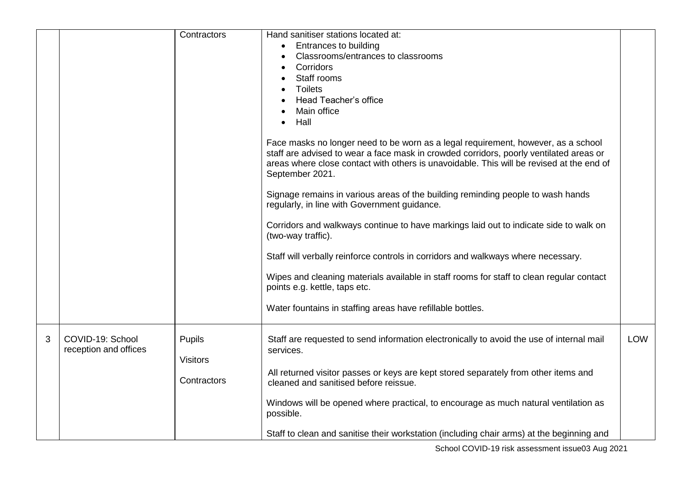|   |                                           | Contractors                                     | Hand sanitiser stations located at:<br>Entrances to building<br>Classrooms/entrances to classrooms<br>Corridors<br>Staff rooms<br><b>Toilets</b><br>Head Teacher's office<br>Main office<br>Hall<br>Face masks no longer need to be worn as a legal requirement, however, as a school<br>staff are advised to wear a face mask in crowded corridors, poorly ventilated areas or<br>areas where close contact with others is unavoidable. This will be revised at the end of<br>September 2021.<br>Signage remains in various areas of the building reminding people to wash hands<br>regularly, in line with Government guidance.<br>Corridors and walkways continue to have markings laid out to indicate side to walk on<br>(two-way traffic).<br>Staff will verbally reinforce controls in corridors and walkways where necessary.<br>Wipes and cleaning materials available in staff rooms for staff to clean regular contact<br>points e.g. kettle, taps etc.<br>Water fountains in staffing areas have refillable bottles. |            |
|---|-------------------------------------------|-------------------------------------------------|----------------------------------------------------------------------------------------------------------------------------------------------------------------------------------------------------------------------------------------------------------------------------------------------------------------------------------------------------------------------------------------------------------------------------------------------------------------------------------------------------------------------------------------------------------------------------------------------------------------------------------------------------------------------------------------------------------------------------------------------------------------------------------------------------------------------------------------------------------------------------------------------------------------------------------------------------------------------------------------------------------------------------------|------------|
| 3 | COVID-19: School<br>reception and offices | <b>Pupils</b><br><b>Visitors</b><br>Contractors | Staff are requested to send information electronically to avoid the use of internal mail<br>services.<br>All returned visitor passes or keys are kept stored separately from other items and<br>cleaned and sanitised before reissue.                                                                                                                                                                                                                                                                                                                                                                                                                                                                                                                                                                                                                                                                                                                                                                                            | <b>LOW</b> |
|   |                                           |                                                 | Windows will be opened where practical, to encourage as much natural ventilation as<br>possible.                                                                                                                                                                                                                                                                                                                                                                                                                                                                                                                                                                                                                                                                                                                                                                                                                                                                                                                                 |            |
|   |                                           |                                                 | Staff to clean and sanitise their workstation (including chair arms) at the beginning and                                                                                                                                                                                                                                                                                                                                                                                                                                                                                                                                                                                                                                                                                                                                                                                                                                                                                                                                        |            |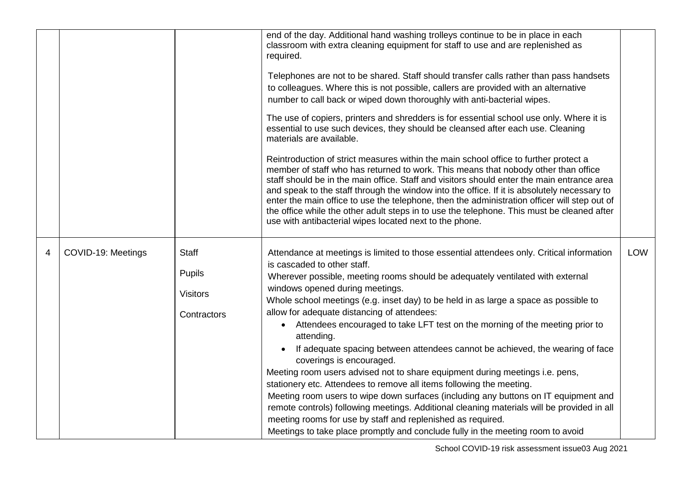|   |                    |                                                                 | end of the day. Additional hand washing trolleys continue to be in place in each<br>classroom with extra cleaning equipment for staff to use and are replenished as<br>required.<br>Telephones are not to be shared. Staff should transfer calls rather than pass handsets<br>to colleagues. Where this is not possible, callers are provided with an alternative<br>number to call back or wiped down thoroughly with anti-bacterial wipes.<br>The use of copiers, printers and shredders is for essential school use only. Where it is<br>essential to use such devices, they should be cleansed after each use. Cleaning<br>materials are available.<br>Reintroduction of strict measures within the main school office to further protect a<br>member of staff who has returned to work. This means that nobody other than office<br>staff should be in the main office. Staff and visitors should enter the main entrance area<br>and speak to the staff through the window into the office. If it is absolutely necessary to<br>enter the main office to use the telephone, then the administration officer will step out of<br>the office while the other adult steps in to use the telephone. This must be cleaned after<br>use with antibacterial wipes located next to the phone. |            |
|---|--------------------|-----------------------------------------------------------------|---------------------------------------------------------------------------------------------------------------------------------------------------------------------------------------------------------------------------------------------------------------------------------------------------------------------------------------------------------------------------------------------------------------------------------------------------------------------------------------------------------------------------------------------------------------------------------------------------------------------------------------------------------------------------------------------------------------------------------------------------------------------------------------------------------------------------------------------------------------------------------------------------------------------------------------------------------------------------------------------------------------------------------------------------------------------------------------------------------------------------------------------------------------------------------------------------------------------------------------------------------------------------------------------|------------|
| 4 | COVID-19: Meetings | <b>Staff</b><br><b>Pupils</b><br><b>Visitors</b><br>Contractors | Attendance at meetings is limited to those essential attendees only. Critical information<br>is cascaded to other staff.<br>Wherever possible, meeting rooms should be adequately ventilated with external<br>windows opened during meetings.<br>Whole school meetings (e.g. inset day) to be held in as large a space as possible to<br>allow for adequate distancing of attendees:<br>Attendees encouraged to take LFT test on the morning of the meeting prior to<br>attending.<br>If adequate spacing between attendees cannot be achieved, the wearing of face<br>coverings is encouraged.<br>Meeting room users advised not to share equipment during meetings i.e. pens,<br>stationery etc. Attendees to remove all items following the meeting.<br>Meeting room users to wipe down surfaces (including any buttons on IT equipment and<br>remote controls) following meetings. Additional cleaning materials will be provided in all<br>meeting rooms for use by staff and replenished as required.<br>Meetings to take place promptly and conclude fully in the meeting room to avoid                                                                                                                                                                                              | <b>LOW</b> |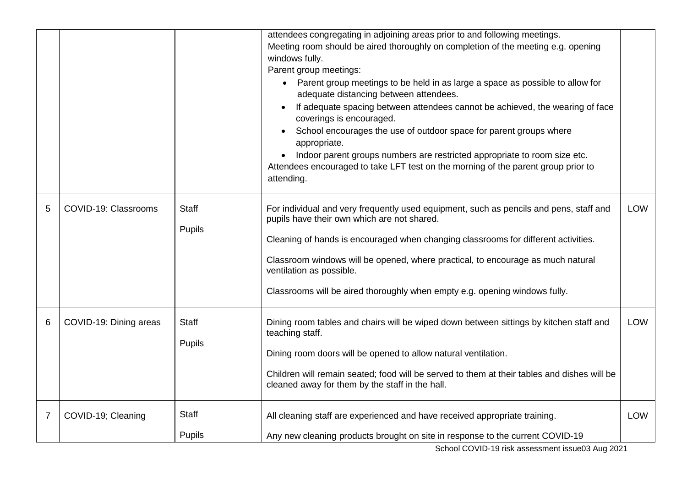|   |                        |               | attendees congregating in adjoining areas prior to and following meetings.                                                                     |            |
|---|------------------------|---------------|------------------------------------------------------------------------------------------------------------------------------------------------|------------|
|   |                        |               | Meeting room should be aired thoroughly on completion of the meeting e.g. opening                                                              |            |
|   |                        |               | windows fully.                                                                                                                                 |            |
|   |                        |               | Parent group meetings:                                                                                                                         |            |
|   |                        |               | • Parent group meetings to be held in as large a space as possible to allow for<br>adequate distancing between attendees.                      |            |
|   |                        |               | If adequate spacing between attendees cannot be achieved, the wearing of face<br>coverings is encouraged.                                      |            |
|   |                        |               | School encourages the use of outdoor space for parent groups where<br>appropriate.                                                             |            |
|   |                        |               | Indoor parent groups numbers are restricted appropriate to room size etc.                                                                      |            |
|   |                        |               | Attendees encouraged to take LFT test on the morning of the parent group prior to                                                              |            |
|   |                        |               | attending.                                                                                                                                     |            |
| 5 | COVID-19: Classrooms   | <b>Staff</b>  | For individual and very frequently used equipment, such as pencils and pens, staff and                                                         | <b>LOW</b> |
|   |                        | Pupils        | pupils have their own which are not shared.                                                                                                    |            |
|   |                        |               | Cleaning of hands is encouraged when changing classrooms for different activities.                                                             |            |
|   |                        |               | Classroom windows will be opened, where practical, to encourage as much natural<br>ventilation as possible.                                    |            |
|   |                        |               | Classrooms will be aired thoroughly when empty e.g. opening windows fully.                                                                     |            |
| 6 | COVID-19: Dining areas | <b>Staff</b>  | Dining room tables and chairs will be wiped down between sittings by kitchen staff and<br>teaching staff.                                      | LOW        |
|   |                        | Pupils        | Dining room doors will be opened to allow natural ventilation.                                                                                 |            |
|   |                        |               |                                                                                                                                                |            |
|   |                        |               | Children will remain seated; food will be served to them at their tables and dishes will be<br>cleaned away for them by the staff in the hall. |            |
| 7 | COVID-19; Cleaning     | Staff         | All cleaning staff are experienced and have received appropriate training.                                                                     | <b>LOW</b> |
|   |                        | <b>Pupils</b> | Any new cleaning products brought on site in response to the current COVID-19                                                                  |            |
|   |                        |               |                                                                                                                                                |            |

School COVID-19 risk assessment issue03 Aug 2021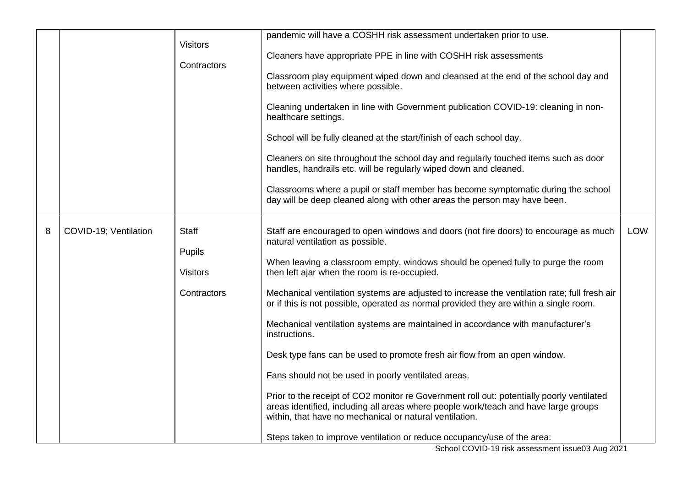|   |                       | <b>Visitors</b><br>Contractors                           | pandemic will have a COSHH risk assessment undertaken prior to use.<br>Cleaners have appropriate PPE in line with COSHH risk assessments<br>Classroom play equipment wiped down and cleansed at the end of the school day and<br>between activities where possible.<br>Cleaning undertaken in line with Government publication COVID-19: cleaning in non-<br>healthcare settings.<br>School will be fully cleaned at the start/finish of each school day.<br>Cleaners on site throughout the school day and regularly touched items such as door<br>handles, handrails etc. will be regularly wiped down and cleaned.<br>Classrooms where a pupil or staff member has become symptomatic during the school<br>day will be deep cleaned along with other areas the person may have been.                                                                                                                                                                                                                                  |     |
|---|-----------------------|----------------------------------------------------------|--------------------------------------------------------------------------------------------------------------------------------------------------------------------------------------------------------------------------------------------------------------------------------------------------------------------------------------------------------------------------------------------------------------------------------------------------------------------------------------------------------------------------------------------------------------------------------------------------------------------------------------------------------------------------------------------------------------------------------------------------------------------------------------------------------------------------------------------------------------------------------------------------------------------------------------------------------------------------------------------------------------------------|-----|
| 8 | COVID-19; Ventilation | <b>Staff</b><br>Pupils<br><b>Visitors</b><br>Contractors | Staff are encouraged to open windows and doors (not fire doors) to encourage as much<br>natural ventilation as possible.<br>When leaving a classroom empty, windows should be opened fully to purge the room<br>then left ajar when the room is re-occupied.<br>Mechanical ventilation systems are adjusted to increase the ventilation rate; full fresh air<br>or if this is not possible, operated as normal provided they are within a single room.<br>Mechanical ventilation systems are maintained in accordance with manufacturer's<br>instructions.<br>Desk type fans can be used to promote fresh air flow from an open window.<br>Fans should not be used in poorly ventilated areas.<br>Prior to the receipt of CO2 monitor re Government roll out: potentially poorly ventilated<br>areas identified, including all areas where people work/teach and have large groups<br>within, that have no mechanical or natural ventilation.<br>Steps taken to improve ventilation or reduce occupancy/use of the area: | LOW |

School COVID-19 risk assessment issue03 Aug 2021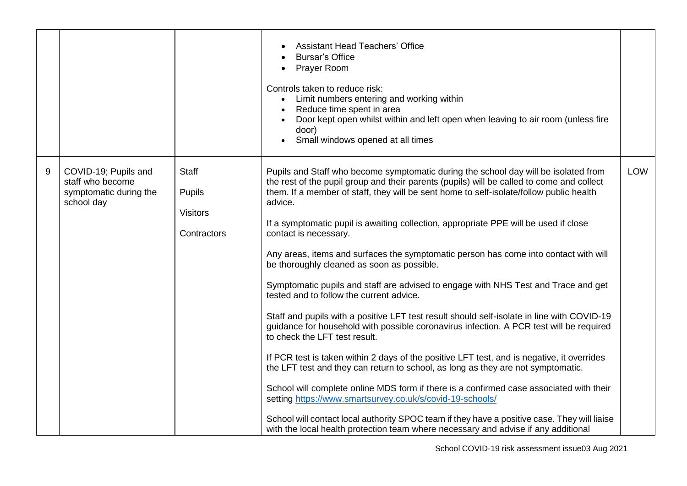|       |                                                                                  |                                                          | <b>Assistant Head Teachers' Office</b><br><b>Bursar's Office</b><br><b>Prayer Room</b><br>$\bullet$<br>Controls taken to reduce risk:<br>Limit numbers entering and working within<br>$\bullet$<br>Reduce time spent in area<br>Door kept open whilst within and left open when leaving to air room (unless fire<br>door)<br>Small windows opened at all times                                                                                                                                                                                                                                                                                                                                                                                                                                                                                                                                                                                                                                                                                                                                                                                                                                                                                                                                                                                                                                                                            |            |
|-------|----------------------------------------------------------------------------------|----------------------------------------------------------|-------------------------------------------------------------------------------------------------------------------------------------------------------------------------------------------------------------------------------------------------------------------------------------------------------------------------------------------------------------------------------------------------------------------------------------------------------------------------------------------------------------------------------------------------------------------------------------------------------------------------------------------------------------------------------------------------------------------------------------------------------------------------------------------------------------------------------------------------------------------------------------------------------------------------------------------------------------------------------------------------------------------------------------------------------------------------------------------------------------------------------------------------------------------------------------------------------------------------------------------------------------------------------------------------------------------------------------------------------------------------------------------------------------------------------------------|------------|
| $9\,$ | COVID-19; Pupils and<br>staff who become<br>symptomatic during the<br>school day | Staff<br><b>Pupils</b><br><b>Visitors</b><br>Contractors | Pupils and Staff who become symptomatic during the school day will be isolated from<br>the rest of the pupil group and their parents (pupils) will be called to come and collect<br>them. If a member of staff, they will be sent home to self-isolate/follow public health<br>advice.<br>If a symptomatic pupil is awaiting collection, appropriate PPE will be used if close<br>contact is necessary.<br>Any areas, items and surfaces the symptomatic person has come into contact with will<br>be thoroughly cleaned as soon as possible.<br>Symptomatic pupils and staff are advised to engage with NHS Test and Trace and get<br>tested and to follow the current advice.<br>Staff and pupils with a positive LFT test result should self-isolate in line with COVID-19<br>guidance for household with possible coronavirus infection. A PCR test will be required<br>to check the LFT test result.<br>If PCR test is taken within 2 days of the positive LFT test, and is negative, it overrides<br>the LFT test and they can return to school, as long as they are not symptomatic.<br>School will complete online MDS form if there is a confirmed case associated with their<br>setting https://www.smartsurvey.co.uk/s/covid-19-schools/<br>School will contact local authority SPOC team if they have a positive case. They will liaise<br>with the local health protection team where necessary and advise if any additional | <b>LOW</b> |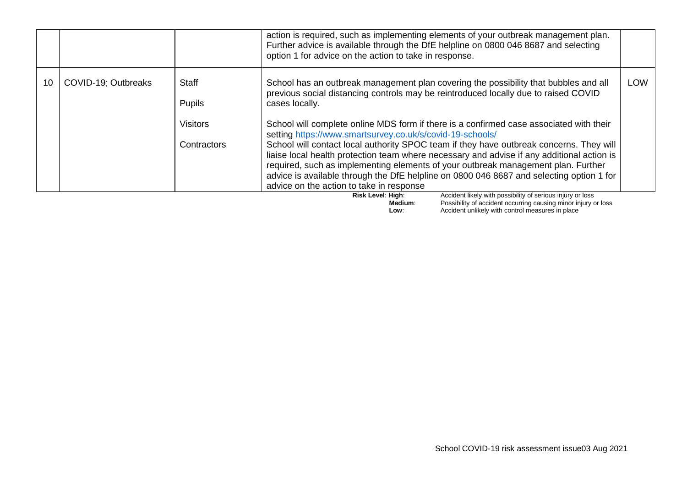|    |                     |                                                                 | action is required, such as implementing elements of your outbreak management plan.<br>Further advice is available through the DfE helpline on 0800 046 8687 and selecting<br>option 1 for advice on the action to take in response.                                                                                                                                                                                                                                                                                                                                                                                                                                                                                                                                                                                                                                 |            |
|----|---------------------|-----------------------------------------------------------------|----------------------------------------------------------------------------------------------------------------------------------------------------------------------------------------------------------------------------------------------------------------------------------------------------------------------------------------------------------------------------------------------------------------------------------------------------------------------------------------------------------------------------------------------------------------------------------------------------------------------------------------------------------------------------------------------------------------------------------------------------------------------------------------------------------------------------------------------------------------------|------------|
| 10 | COVID-19; Outbreaks | <b>Staff</b><br><b>Pupils</b><br><b>Visitors</b><br>Contractors | School has an outbreak management plan covering the possibility that bubbles and all<br>previous social distancing controls may be reintroduced locally due to raised COVID<br>cases locally.<br>School will complete online MDS form if there is a confirmed case associated with their<br>setting https://www.smartsurvey.co.uk/s/covid-19-schools/<br>School will contact local authority SPOC team if they have outbreak concerns. They will<br>liaise local health protection team where necessary and advise if any additional action is<br>required, such as implementing elements of your outbreak management plan. Further<br>advice is available through the DfE helpline on 0800 046 8687 and selecting option 1 for<br>advice on the action to take in response<br>Accident likely with possibility of serious injury or loss<br><b>Dick Loval: High</b> | <b>LOW</b> |

**Risk Level: High:** Accident likely with possibility of serious injury or loss **Medium**: Possibility of accident occurring causing minor injury or loss **Low:** Accident unlikely with control measures in place